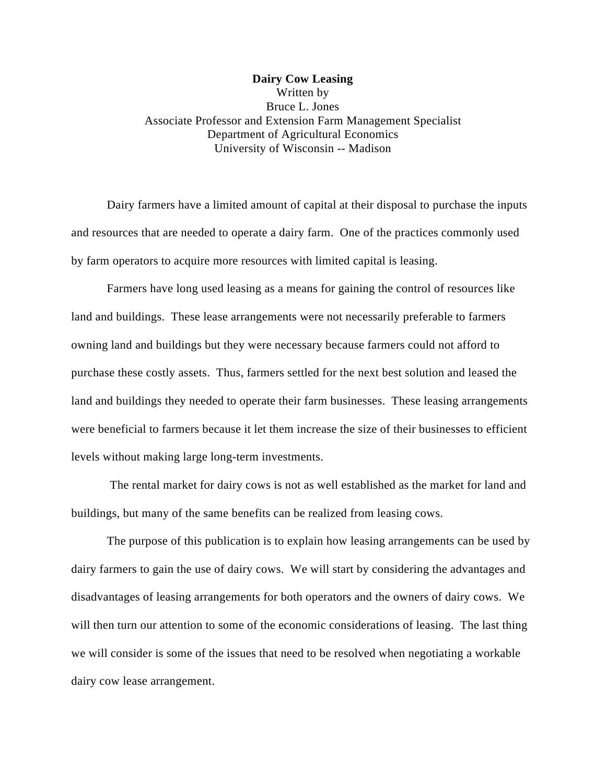**Dairy Cow Leasing** Written by Bruce L. Jones Associate Professor and Extension Farm Management Specialist Department of Agricultural Economics University of Wisconsin -- Madison

Dairy farmers have a limited amount of capital at their disposal to purchase the inputs and resources that are needed to operate a dairy farm. One of the practices commonly used by farm operators to acquire more resources with limited capital is leasing.

Farmers have long used leasing as a means for gaining the control of resources like land and buildings. These lease arrangements were not necessarily preferable to farmers owning land and buildings but they were necessary because farmers could not afford to purchase these costly assets. Thus, farmers settled for the next best solution and leased the land and buildings they needed to operate their farm businesses. These leasing arrangements were beneficial to farmers because it let them increase the size of their businesses to efficient levels without making large long-term investments.

 The rental market for dairy cows is not as well established as the market for land and buildings, but many of the same benefits can be realized from leasing cows.

The purpose of this publication is to explain how leasing arrangements can be used by dairy farmers to gain the use of dairy cows. We will start by considering the advantages and disadvantages of leasing arrangements for both operators and the owners of dairy cows. We will then turn our attention to some of the economic considerations of leasing. The last thing we will consider is some of the issues that need to be resolved when negotiating a workable dairy cow lease arrangement.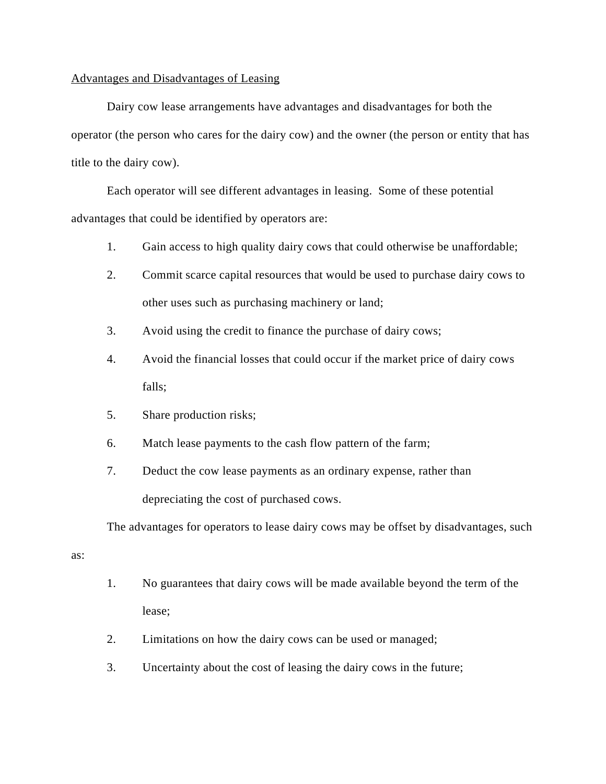## Advantages and Disadvantages of Leasing

Dairy cow lease arrangements have advantages and disadvantages for both the operator (the person who cares for the dairy cow) and the owner (the person or entity that has title to the dairy cow).

Each operator will see different advantages in leasing. Some of these potential advantages that could be identified by operators are:

- 1. Gain access to high quality dairy cows that could otherwise be unaffordable;
- 2. Commit scarce capital resources that would be used to purchase dairy cows to other uses such as purchasing machinery or land;
- 3. Avoid using the credit to finance the purchase of dairy cows;
- 4. Avoid the financial losses that could occur if the market price of dairy cows falls;
- 5. Share production risks;
- 6. Match lease payments to the cash flow pattern of the farm;
- 7. Deduct the cow lease payments as an ordinary expense, rather than depreciating the cost of purchased cows.

The advantages for operators to lease dairy cows may be offset by disadvantages, such

as:

- 1. No guarantees that dairy cows will be made available beyond the term of the lease;
- 2. Limitations on how the dairy cows can be used or managed;
- 3. Uncertainty about the cost of leasing the dairy cows in the future;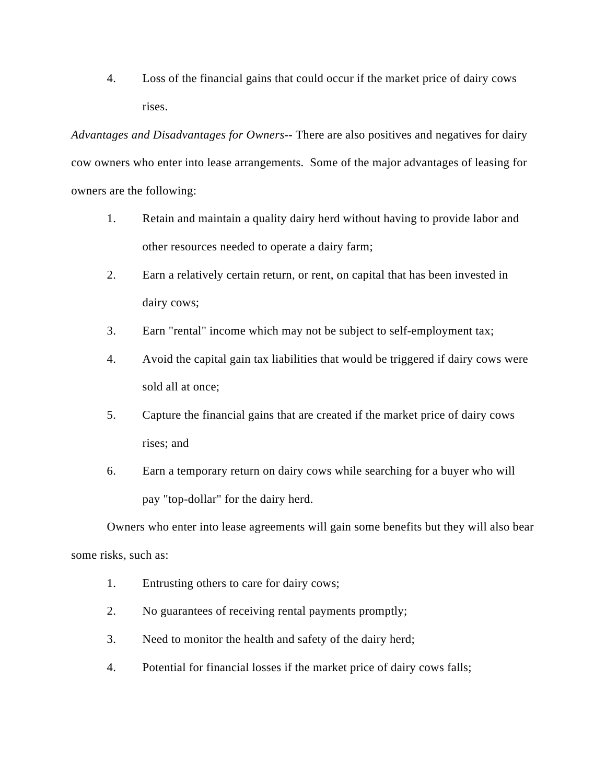4. Loss of the financial gains that could occur if the market price of dairy cows rises.

*Advantages and Disadvantages for Owners*-- There are also positives and negatives for dairy cow owners who enter into lease arrangements. Some of the major advantages of leasing for owners are the following:

- 1. Retain and maintain a quality dairy herd without having to provide labor and other resources needed to operate a dairy farm;
- 2. Earn a relatively certain return, or rent, on capital that has been invested in dairy cows;
- 3. Earn "rental" income which may not be subject to self-employment tax;
- 4. Avoid the capital gain tax liabilities that would be triggered if dairy cows were sold all at once;
- 5. Capture the financial gains that are created if the market price of dairy cows rises; and
- 6. Earn a temporary return on dairy cows while searching for a buyer who will pay "top-dollar" for the dairy herd.

Owners who enter into lease agreements will gain some benefits but they will also bear some risks, such as:

- 1. Entrusting others to care for dairy cows;
- 2. No guarantees of receiving rental payments promptly;
- 3. Need to monitor the health and safety of the dairy herd;
- 4. Potential for financial losses if the market price of dairy cows falls;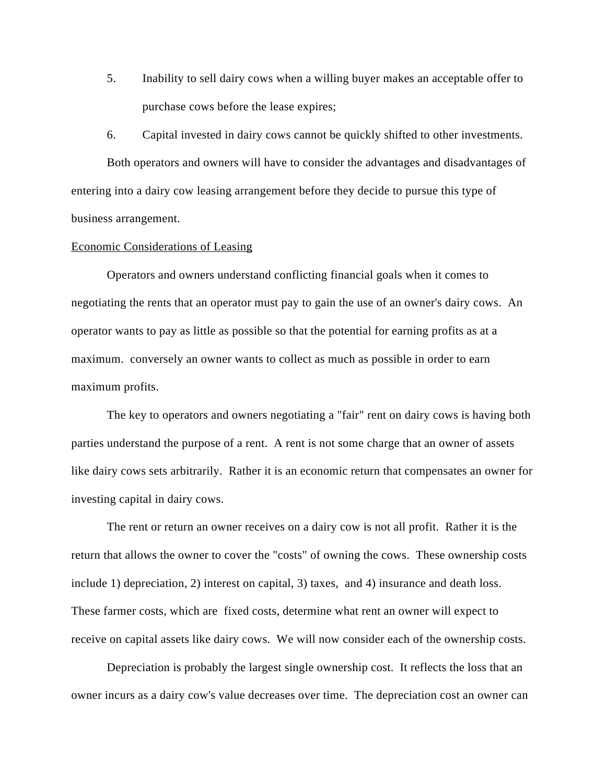5. Inability to sell dairy cows when a willing buyer makes an acceptable offer to purchase cows before the lease expires;

6. Capital invested in dairy cows cannot be quickly shifted to other investments.

Both operators and owners will have to consider the advantages and disadvantages of entering into a dairy cow leasing arrangement before they decide to pursue this type of business arrangement.

# Economic Considerations of Leasing

Operators and owners understand conflicting financial goals when it comes to negotiating the rents that an operator must pay to gain the use of an owner's dairy cows. An operator wants to pay as little as possible so that the potential for earning profits as at a maximum. conversely an owner wants to collect as much as possible in order to earn maximum profits.

The key to operators and owners negotiating a "fair" rent on dairy cows is having both parties understand the purpose of a rent. A rent is not some charge that an owner of assets like dairy cows sets arbitrarily. Rather it is an economic return that compensates an owner for investing capital in dairy cows.

The rent or return an owner receives on a dairy cow is not all profit. Rather it is the return that allows the owner to cover the "costs" of owning the cows. These ownership costs include 1) depreciation, 2) interest on capital, 3) taxes, and 4) insurance and death loss. These farmer costs, which are fixed costs, determine what rent an owner will expect to receive on capital assets like dairy cows. We will now consider each of the ownership costs.

Depreciation is probably the largest single ownership cost. It reflects the loss that an owner incurs as a dairy cow's value decreases over time. The depreciation cost an owner can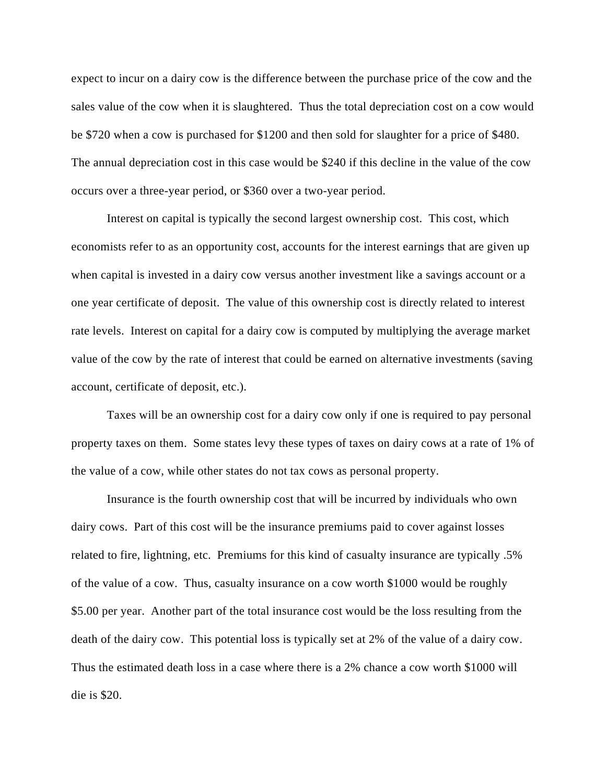expect to incur on a dairy cow is the difference between the purchase price of the cow and the sales value of the cow when it is slaughtered. Thus the total depreciation cost on a cow would be \$720 when a cow is purchased for \$1200 and then sold for slaughter for a price of \$480. The annual depreciation cost in this case would be \$240 if this decline in the value of the cow occurs over a three-year period, or \$360 over a two-year period.

Interest on capital is typically the second largest ownership cost. This cost, which economists refer to as an opportunity cost, accounts for the interest earnings that are given up when capital is invested in a dairy cow versus another investment like a savings account or a one year certificate of deposit. The value of this ownership cost is directly related to interest rate levels. Interest on capital for a dairy cow is computed by multiplying the average market value of the cow by the rate of interest that could be earned on alternative investments (saving account, certificate of deposit, etc.).

Taxes will be an ownership cost for a dairy cow only if one is required to pay personal property taxes on them. Some states levy these types of taxes on dairy cows at a rate of 1% of the value of a cow, while other states do not tax cows as personal property.

Insurance is the fourth ownership cost that will be incurred by individuals who own dairy cows. Part of this cost will be the insurance premiums paid to cover against losses related to fire, lightning, etc. Premiums for this kind of casualty insurance are typically .5% of the value of a cow. Thus, casualty insurance on a cow worth \$1000 would be roughly \$5.00 per year. Another part of the total insurance cost would be the loss resulting from the death of the dairy cow. This potential loss is typically set at 2% of the value of a dairy cow. Thus the estimated death loss in a case where there is a 2% chance a cow worth \$1000 will die is \$20.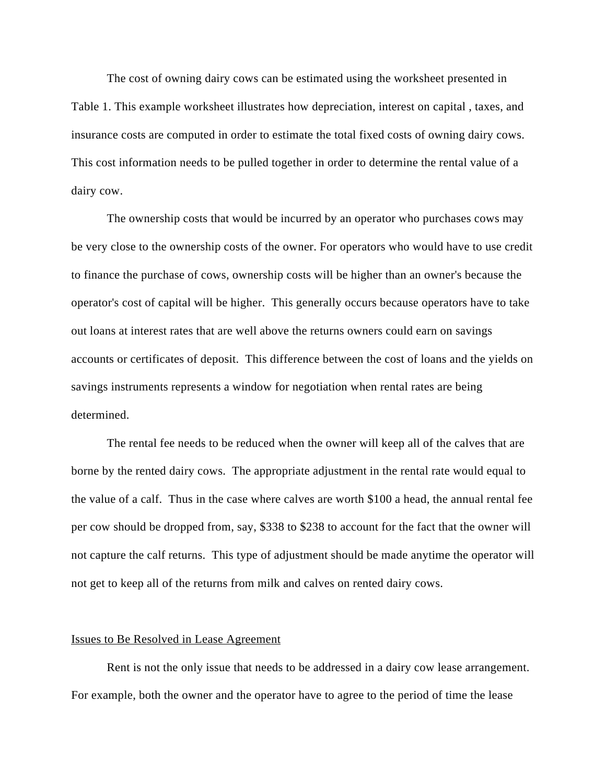The cost of owning dairy cows can be estimated using the worksheet presented in Table 1. This example worksheet illustrates how depreciation, interest on capital , taxes, and insurance costs are computed in order to estimate the total fixed costs of owning dairy cows. This cost information needs to be pulled together in order to determine the rental value of a dairy cow.

The ownership costs that would be incurred by an operator who purchases cows may be very close to the ownership costs of the owner. For operators who would have to use credit to finance the purchase of cows, ownership costs will be higher than an owner's because the operator's cost of capital will be higher. This generally occurs because operators have to take out loans at interest rates that are well above the returns owners could earn on savings accounts or certificates of deposit. This difference between the cost of loans and the yields on savings instruments represents a window for negotiation when rental rates are being determined.

The rental fee needs to be reduced when the owner will keep all of the calves that are borne by the rented dairy cows. The appropriate adjustment in the rental rate would equal to the value of a calf. Thus in the case where calves are worth \$100 a head, the annual rental fee per cow should be dropped from, say, \$338 to \$238 to account for the fact that the owner will not capture the calf returns. This type of adjustment should be made anytime the operator will not get to keep all of the returns from milk and calves on rented dairy cows.

## Issues to Be Resolved in Lease Agreement

Rent is not the only issue that needs to be addressed in a dairy cow lease arrangement. For example, both the owner and the operator have to agree to the period of time the lease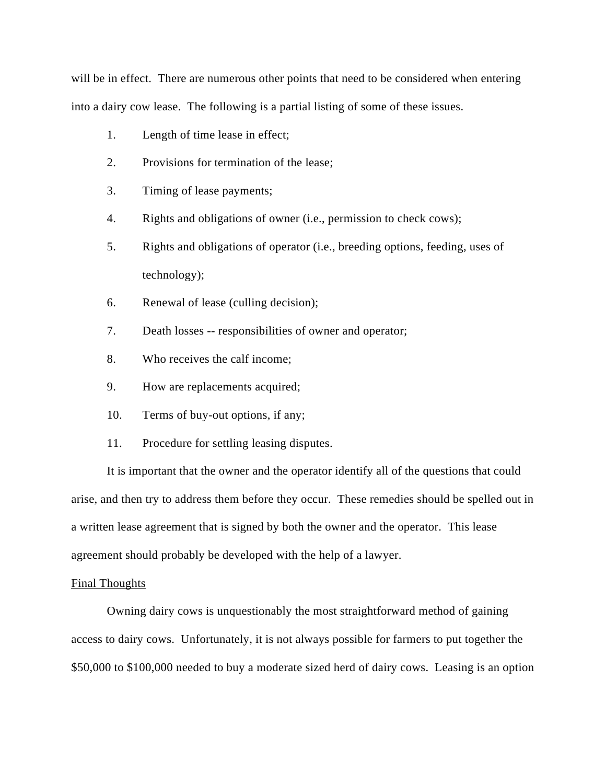will be in effect. There are numerous other points that need to be considered when entering into a dairy cow lease. The following is a partial listing of some of these issues.

- 1. Length of time lease in effect;
- 2. Provisions for termination of the lease;
- 3. Timing of lease payments;
- 4. Rights and obligations of owner (i.e., permission to check cows);
- 5. Rights and obligations of operator (i.e., breeding options, feeding, uses of technology);
- 6. Renewal of lease (culling decision);
- 7. Death losses -- responsibilities of owner and operator;
- 8. Who receives the calf income;
- 9. How are replacements acquired;
- 10. Terms of buy-out options, if any;
- 11. Procedure for settling leasing disputes.

It is important that the owner and the operator identify all of the questions that could arise, and then try to address them before they occur. These remedies should be spelled out in a written lease agreement that is signed by both the owner and the operator. This lease agreement should probably be developed with the help of a lawyer.

#### Final Thoughts

Owning dairy cows is unquestionably the most straightforward method of gaining access to dairy cows. Unfortunately, it is not always possible for farmers to put together the \$50,000 to \$100,000 needed to buy a moderate sized herd of dairy cows. Leasing is an option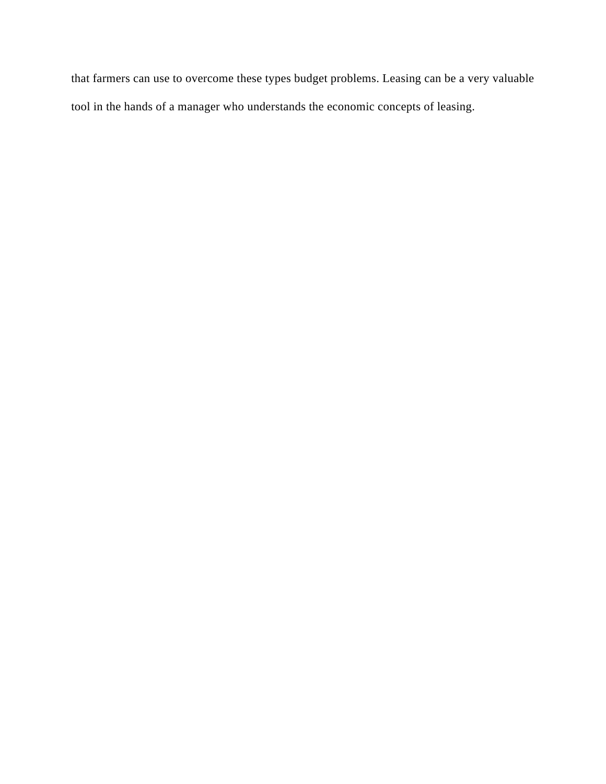that farmers can use to overcome these types budget problems. Leasing can be a very valuable tool in the hands of a manager who understands the economic concepts of leasing.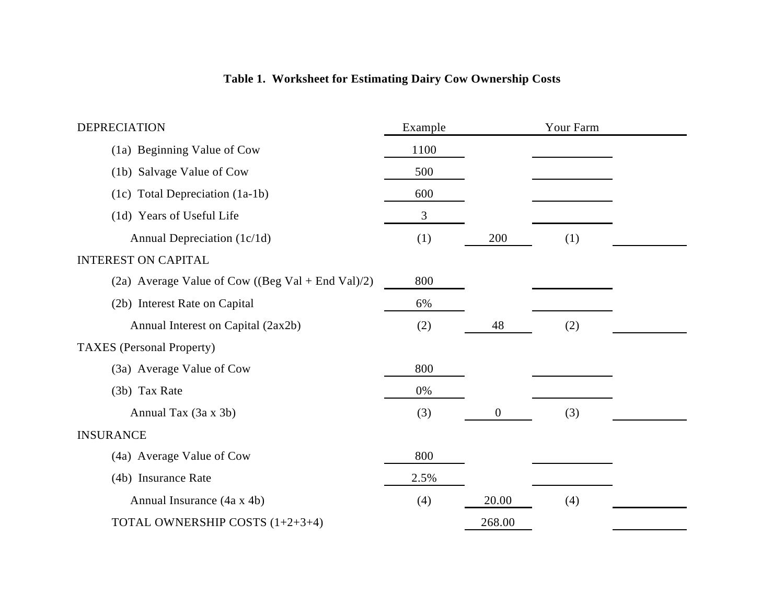# **Table 1. Worksheet for Estimating Dairy Cow Ownership Costs**

| <b>DEPRECIATION</b>                               | Example |                  | Your Farm |  |
|---------------------------------------------------|---------|------------------|-----------|--|
| (1a) Beginning Value of Cow                       | 1100    |                  |           |  |
| (1b) Salvage Value of Cow                         | 500     |                  |           |  |
| (1c) Total Depreciation (1a-1b)                   | 600     |                  |           |  |
| (1d) Years of Useful Life                         | 3       |                  |           |  |
| Annual Depreciation (1c/1d)                       | (1)     | 200              | (1)       |  |
| <b>INTEREST ON CAPITAL</b>                        |         |                  |           |  |
| (2a) Average Value of Cow ((Beg Val + End Val)/2) | 800     |                  |           |  |
| (2b) Interest Rate on Capital                     | 6%      |                  |           |  |
| Annual Interest on Capital (2ax2b)                | (2)     | 48               | (2)       |  |
| <b>TAXES</b> (Personal Property)                  |         |                  |           |  |
| (3a) Average Value of Cow                         | 800     |                  |           |  |
| (3b) Tax Rate                                     | 0%      |                  |           |  |
| Annual Tax (3a x 3b)                              | (3)     | $\boldsymbol{0}$ | (3)       |  |
| <b>INSURANCE</b>                                  |         |                  |           |  |
| (4a) Average Value of Cow                         | 800     |                  |           |  |
| (4b) Insurance Rate                               | 2.5%    |                  |           |  |
| Annual Insurance (4a x 4b)                        | (4)     | 20.00            | (4)       |  |
| TOTAL OWNERSHIP COSTS (1+2+3+4)                   |         | 268.00           |           |  |